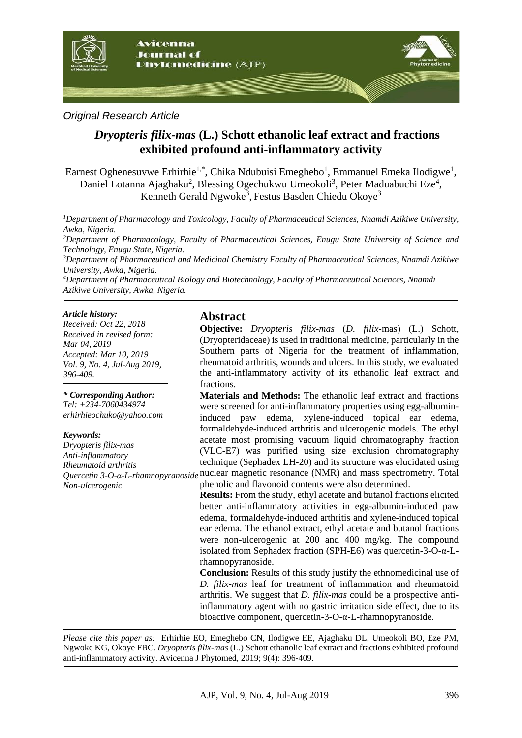

### *Original Research Article*

# *Dryopteris filix-mas* **(L.) Schott ethanolic leaf extract and fractions exhibited profound anti-inflammatory activity**

Earnest Oghenesuvwe Erhirhie<sup>1,\*</sup>, Chika Ndubuisi Emeghebo<sup>1</sup>, Emmanuel Emeka Ilodigwe<sup>1</sup>, Daniel Lotanna Ajaghaku<sup>2</sup>, Blessing Ogechukwu Umeokoli<sup>3</sup>, Peter Maduabuchi Eze<sup>4</sup>, Kenneth Gerald Ngwoke<sup>3</sup>, Festus Basden Chiedu Okoye<sup>3</sup>

*1 Department of Pharmacology and Toxicology, Faculty of Pharmaceutical Sciences, Nnamdi Azikiwe University, Awka, Nigeria.*

*2 Department of Pharmacology, Faculty of Pharmaceutical Sciences, Enugu State University of Science and Technology, Enugu State, Nigeria.*

*3 Department of Pharmaceutical and Medicinal Chemistry Faculty of Pharmaceutical Sciences, Nnamdi Azikiwe University, Awka, Nigeria.*

*4 Department of Pharmaceutical Biology and Biotechnology, Faculty of Pharmaceutical Sciences, Nnamdi Azikiwe University, Awka, Nigeria.*

#### *Article history:*

*Received: Oct 22, 2018 Received in revised form: Mar 04, 2019 Accepted: Mar 10, 2019 Vol. 9, No. 4, Jul-Aug 2019, 396-409.*

*\* Corresponding Author: Tel: +234-7060434974 erhirhieochuko@yahoo.com*

#### *Keywords:*

*Dryopteris filix-mas Anti-inflammatory Rheumatoid arthritis Non-ulcerogenic* 

### **Abstract**

**Objective:** *Dryopteris filix-mas* (*D. filix-*mas) (L.) Schott, (Dryopteridaceae) is used in traditional medicine, particularly in the Southern parts of Nigeria for the treatment of inflammation, rheumatoid arthritis, wounds and ulcers. In this study, we evaluated the anti-inflammatory activity of its ethanolic leaf extract and fractions.

*Quercetin 3-O-α-L-rhamnopyranoside* nuclear magnetic resonance (NMR) and mass spectrometry. Total **Materials and Methods:** The ethanolic leaf extract and fractions were screened for anti-inflammatory properties using egg-albumininduced paw edema, xylene-induced topical ear edema, formaldehyde-induced arthritis and ulcerogenic models. The ethyl acetate most promising vacuum liquid chromatography fraction (VLC-E7) was purified using size exclusion chromatography technique (Sephadex LH-20) and its structure was elucidated using phenolic and flavonoid contents were also determined.

> **Results:** From the study, ethyl acetate and butanol fractions elicited better anti-inflammatory activities in egg-albumin-induced paw edema, formaldehyde-induced arthritis and xylene-induced topical ear edema. The ethanol extract, ethyl acetate and butanol fractions were non-ulcerogenic at 200 and 400 mg/kg. The compound isolated from Sephadex fraction (SPH-E6) was quercetin-3-O-α-Lrhamnopyranoside.

> **Conclusion:** Results of this study justify the ethnomedicinal use of *D. filix-mas* leaf for treatment of inflammation and rheumatoid arthritis. We suggest that *D. filix-mas* could be a prospective antiinflammatory agent with no gastric irritation side effect, due to its bioactive component, quercetin-3-O-α-L-rhamnopyranoside.

*Please cite this paper as:* Erhirhie EO, Emeghebo CN, Ilodigwe EE, Ajaghaku DL, Umeokoli BO, Eze PM, Ngwoke KG, Okoye FBC. *Dryopteris filix-mas* (L.) Schott ethanolic leaf extract and fractions exhibited profound anti-inflammatory activity. Avicenna J Phytomed, 2019; 9(4): 396-409.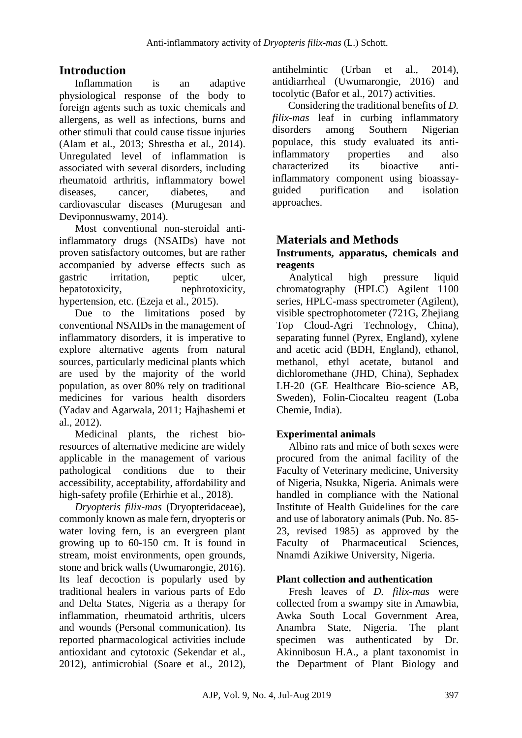# **Introduction**

Inflammation is an adaptive physiological response of the body to foreign agents such as toxic chemicals and allergens, as well as infections, burns and other stimuli that could cause tissue injuries (Alam et al*.,* 2013; Shrestha et al*.,* 2014). Unregulated level of inflammation is associated with several disorders, including rheumatoid arthritis, inflammatory bowel diseases, cancer, diabetes, and cardiovascular diseases (Murugesan and Deviponnuswamy, 2014).

Most conventional non-steroidal antiinflammatory drugs (NSAIDs) have not proven satisfactory outcomes, but are rather accompanied by adverse effects such as gastric irritation, peptic ulcer, hepatotoxicity, nephrotoxicity, hypertension, etc. (Ezeja et al., 2015).

Due to the limitations posed by conventional NSAIDs in the management of inflammatory disorders, it is imperative to explore alternative agents from natural sources, particularly medicinal plants which are used by the majority of the world population, as over 80% rely on traditional medicines for various health disorders (Yadav and Agarwala, 2011; Hajhashemi et al., 2012).

Medicinal plants, the richest bioresources of alternative medicine are widely applicable in the management of various pathological conditions due to their accessibility, acceptability, affordability and high-safety profile (Erhirhie et al., 2018).

*Dryopteris filix-mas* (Dryopteridaceae), commonly known as male fern, dryopteris or water loving fern, is an evergreen plant growing up to 60-150 cm. It is found in stream, moist environments, open grounds, stone and brick walls (Uwumarongie, 2016). Its leaf decoction is popularly used by traditional healers in various parts of Edo and Delta States, Nigeria as a therapy for inflammation, rheumatoid arthritis, ulcers and wounds (Personal communication). Its reported pharmacological activities include antioxidant and cytotoxic (Sekendar et al., 2012), antimicrobial (Soare et al., 2012),

antihelmintic (Urban et al., 2014), antidiarrheal (Uwumarongie, 2016) and tocolytic (Bafor et al., 2017) activities.

Considering the traditional benefits of *D. filix-mas* leaf in curbing inflammatory disorders among Southern Nigerian populace, this study evaluated its antiinflammatory properties and also characterized its bioactive antiinflammatory component using bioassayguided purification and isolation approaches.

# **Materials and Methods**

## **Instruments, apparatus, chemicals and reagents**

Analytical high pressure liquid chromatography (HPLC) Agilent 1100 series, HPLC-mass spectrometer (Agilent), visible spectrophotometer (721G, Zhejiang Top Cloud-Agri Technology, China), separating funnel (Pyrex, England), xylene and acetic acid (BDH, England), ethanol, methanol, ethyl acetate, butanol and dichloromethane (JHD, China), Sephadex LH-20 (GE Healthcare Bio-science AB, Sweden), Folin-Ciocalteu reagent (Loba Chemie, India).

## **Experimental animals**

Albino rats and mice of both sexes were procured from the animal facility of the Faculty of Veterinary medicine, University of Nigeria, Nsukka, Nigeria. Animals were handled in compliance with the National Institute of Health Guidelines for the care and use of laboratory animals (Pub. No. 85- 23, revised 1985) as approved by the Faculty of Pharmaceutical Sciences, Nnamdi Azikiwe University, Nigeria.

### **Plant collection and authentication**

Fresh leaves of *D. filix-mas* were collected from a swampy site in Amawbia, Awka South Local Government Area, Anambra State, Nigeria. The plant specimen was authenticated by Dr. Akinnibosun H.A., a plant taxonomist in the Department of Plant Biology and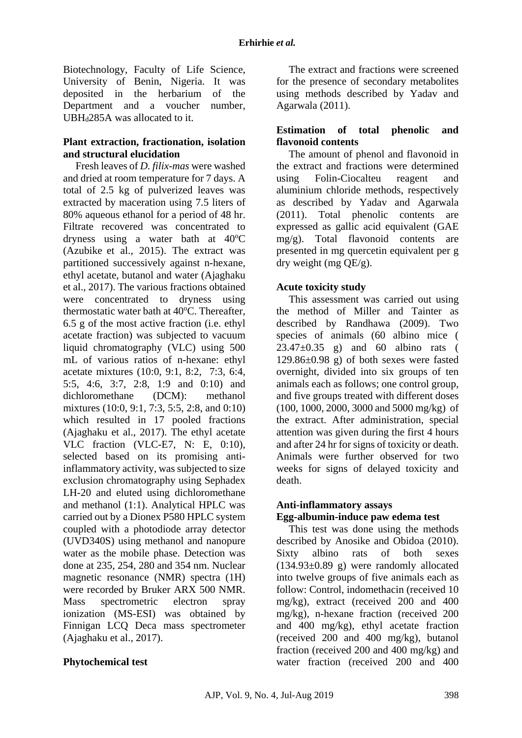Biotechnology, Faculty of Life Science, University of Benin, Nigeria. It was deposited in the herbarium of the Department and a voucher number, UBH<sub>d</sub>285A was allocated to it.

### **Plant extraction, fractionation, isolation and structural elucidation**

Fresh leaves of *D. filix-mas* were washed and dried at room temperature for 7 days. A total of 2.5 kg of pulverized leaves was extracted by maceration using 7.5 liters of 80% aqueous ethanol for a period of 48 hr. Filtrate recovered was concentrated to dryness using a water bath at  $40^{\circ}$ C (Azubike et al., 2015). The extract was partitioned successively against n-hexane, ethyl acetate, butanol and water (Ajaghaku et al., 2017). The various fractions obtained were concentrated to dryness using thermostatic water bath at 40°C. Thereafter, 6.5 g of the most active fraction (i.e. ethyl acetate fraction) was subjected to vacuum liquid chromatography (VLC) using 500 mL of various ratios of n-hexane: ethyl acetate mixtures (10:0, 9:1, 8:2, 7:3, 6:4, 5:5, 4:6, 3:7, 2:8, 1:9 and 0:10) and dichloromethane (DCM): methanol mixtures (10:0, 9:1, 7:3, 5:5, 2:8, and 0:10) which resulted in 17 pooled fractions (Ajaghaku et al., 2017). The ethyl acetate VLC fraction (VLC-E7, N: E, 0:10), selected based on its promising antiinflammatory activity, was subjected to size exclusion chromatography using Sephadex LH-20 and eluted using dichloromethane and methanol (1:1). Analytical HPLC was carried out by a Dionex P580 HPLC system coupled with a photodiode array detector (UVD340S) using methanol and nanopure water as the mobile phase. Detection was done at 235, 254, 280 and 354 nm. Nuclear magnetic resonance (NMR) spectra (1H) were recorded by Bruker ARX 500 NMR. Mass spectrometric electron spray ionization (MS-ESI) was obtained by Finnigan LCQ Deca mass spectrometer (Ajaghaku et al., 2017).

The extract and fractions were screened for the presence of secondary metabolites using methods described by Yadav and Agarwala (2011).

### **Estimation of total phenolic and flavonoid contents**

The amount of phenol and flavonoid in the extract and fractions were determined using Folin-Ciocalteu reagent and aluminium chloride methods, respectively as described by Yadav and Agarwala (2011). Total phenolic contents are expressed as gallic acid equivalent (GAE mg/g). Total flavonoid contents are presented in mg quercetin equivalent per g dry weight (mg QE/g).

### **Acute toxicity study**

This assessment was carried out using the method of Miller and Tainter as described by Randhawa (2009). Two species of animals (60 albino mice ( 23.47±0.35 g) and 60 albino rats ( 129.86±0.98 g) of both sexes were fasted overnight, divided into six groups of ten animals each as follows; one control group, and five groups treated with different doses (100, 1000, 2000, 3000 and 5000 mg/kg) of the extract. After administration, special attention was given during the first 4 hours and after 24 hr for signs of toxicity or death. Animals were further observed for two weeks for signs of delayed toxicity and death.

### **Anti-inflammatory assays Egg-albumin-induce paw edema test**

This test was done using the methods described by Anosike and Obidoa (2010). Sixty albino rats of both sexes  $(134.93\pm0.89)$  were randomly allocated into twelve groups of five animals each as follow: Control, indomethacin (received 10 mg/kg), extract (received 200 and 400 mg/kg), n-hexane fraction (received 200 and 400 mg/kg), ethyl acetate fraction (received 200 and 400 mg/kg), butanol fraction (received 200 and 400 mg/kg) and water fraction (received 200 and 400

### **Phytochemical test**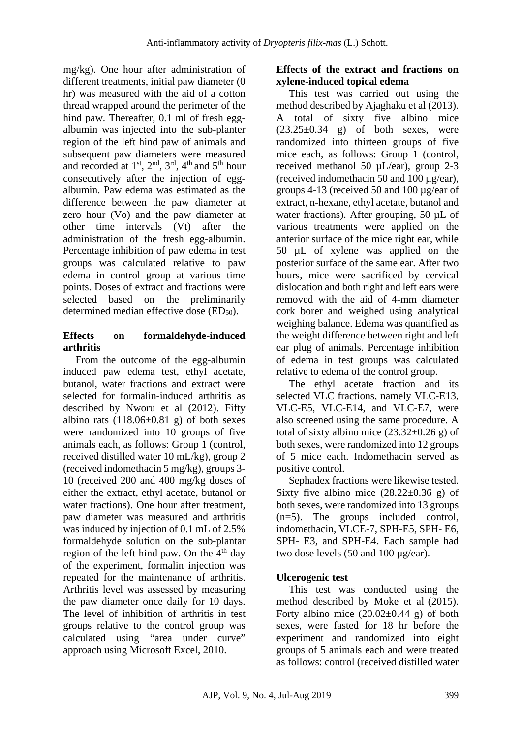mg/kg). One hour after administration of different treatments, initial paw diameter (0 hr) was measured with the aid of a cotton thread wrapped around the perimeter of the hind paw. Thereafter, 0.1 ml of fresh eggalbumin was injected into the sub-planter region of the left hind paw of animals and subsequent paw diameters were measured and recorded at  $1<sup>st</sup>$ ,  $2<sup>nd</sup>$ ,  $3<sup>rd</sup>$ ,  $4<sup>th</sup>$  and  $5<sup>th</sup>$  hour consecutively after the injection of eggalbumin. Paw edema was estimated as the difference between the paw diameter at zero hour (Vo) and the paw diameter at other time intervals (Vt) after the administration of the fresh egg-albumin. Percentage inhibition of paw edema in test groups was calculated relative to paw edema in control group at various time points. Doses of extract and fractions were selected based on the preliminarily determined median effective dose (ED<sub>50</sub>).

## **Effects on formaldehyde-induced arthritis**

From the outcome of the egg-albumin induced paw edema test, ethyl acetate, butanol, water fractions and extract were selected for formalin-induced arthritis as described by Nworu et al (2012). Fifty albino rats  $(118.06\pm0.81)$  g) of both sexes were randomized into 10 groups of five animals each, as follows: Group 1 (control, received distilled water 10 mL/kg), group 2 (received indomethacin 5 mg/kg), groups 3- 10 (received 200 and 400 mg/kg doses of either the extract, ethyl acetate, butanol or water fractions). One hour after treatment, paw diameter was measured and arthritis was induced by injection of 0.1 mL of 2.5% formaldehyde solution on the sub-plantar region of the left hind paw. On the  $4<sup>th</sup>$  day of the experiment, formalin injection was repeated for the maintenance of arthritis. Arthritis level was assessed by measuring the paw diameter once daily for 10 days. The level of inhibition of arthritis in test groups relative to the control group was calculated using "area under curve" approach using Microsoft Excel, 2010.

### **Effects of the extract and fractions on xylene-induced topical edema**

This test was carried out using the method described by Ajaghaku et al (2013). A total of sixty five albino mice  $(23.25\pm0.34)$  g) of both sexes, were randomized into thirteen groups of five mice each, as follows: Group 1 (control, received methanol 50 µL/ear), group 2-3 (received indomethacin 50 and 100  $\mu$ g/ear). groups 4-13 (received 50 and 100 µg/ear of extract, n-hexane, ethyl acetate, butanol and water fractions). After grouping, 50 µL of various treatments were applied on the anterior surface of the mice right ear, while 50 µL of xylene was applied on the posterior surface of the same ear. After two hours, mice were sacrificed by cervical dislocation and both right and left ears were removed with the aid of 4-mm diameter cork borer and weighed using analytical weighing balance. Edema was quantified as the weight difference between right and left ear plug of animals. Percentage inhibition of edema in test groups was calculated relative to edema of the control group.

The ethyl acetate fraction and its selected VLC fractions, namely VLC-E13, VLC-E5, VLC-E14, and VLC-E7, were also screened using the same procedure. A total of sixty albino mice  $(23.32\pm0.26 \text{ g})$  of both sexes, were randomized into 12 groups of 5 mice each. Indomethacin served as positive control.

Sephadex fractions were likewise tested. Sixty five albino mice  $(28.22\pm0.36 \text{ g})$  of both sexes, were randomized into 13 groups (n=5). The groups included control, indomethacin, VLCE-7, SPH-E5, SPH- E6, SPH- E3, and SPH-E4. Each sample had two dose levels (50 and 100 µg/ear).

# **Ulcerogenic test**

This test was conducted using the method described by Moke et al (2015). Forty albino mice  $(20.02\pm0.44 \text{ g})$  of both sexes, were fasted for 18 hr before the experiment and randomized into eight groups of 5 animals each and were treated as follows: control (received distilled water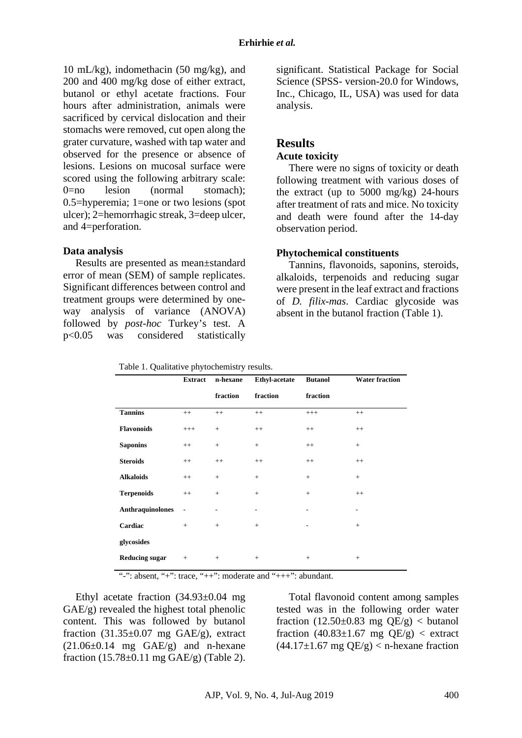10 mL/kg), indomethacin (50 mg/kg), and 200 and 400 mg/kg dose of either extract, butanol or ethyl acetate fractions. Four hours after administration, animals were sacrificed by cervical dislocation and their stomachs were removed, cut open along the grater curvature, washed with tap water and observed for the presence or absence of lesions. Lesions on mucosal surface were scored using the following arbitrary scale:  $0=$ no lesion (normal stomach): 0.5=hyperemia; 1=one or two lesions (spot ulcer); 2=hemorrhagic streak, 3=deep ulcer, and 4=perforation.

### **Data analysis**

Results are presented as mean±standard error of mean (SEM) of sample replicates. Significant differences between control and treatment groups were determined by oneway analysis of variance (ANOVA) followed by *post-hoc* Turkey's test. A p<0.05 was considered statistically significant. Statistical Package for Social Science (SPSS- version-20.0 for Windows, Inc., Chicago, IL, USA) was used for data analysis.

## **Results**

#### **Acute toxicity**

There were no signs of toxicity or death following treatment with various doses of the extract (up to  $5000$  mg/kg) 24-hours after treatment of rats and mice. No toxicity and death were found after the 14-day observation period.

### **Phytochemical constituents**

Tannins, flavonoids, saponins, steroids, alkaloids, terpenoids and reducing sugar were present in the leaf extract and fractions of *D. filix-mas*. Cardiac glycoside was absent in the butanol fraction (Table 1).

|  | Table 1. Qualitative phytochemistry results. |  |
|--|----------------------------------------------|--|
|  |                                              |  |

|                         | <b>Extract</b>           | n-hexane | <b>Ethyl-acetate</b>     | <b>Butanol</b>  | <b>Water fraction</b> |
|-------------------------|--------------------------|----------|--------------------------|-----------------|-----------------------|
|                         |                          | fraction | fraction                 | fraction        |                       |
| <b>Tannins</b>          | $++$                     | $++$     | $++$                     | $^{+++}$        | $++$                  |
| <b>Flavonoids</b>       | $^{+++}$                 |          | $++$                     | $^{++}$         | $++$                  |
| <b>Saponins</b>         | $^{++}$                  | $+$      | $\! +$                   | $^{++}$         | $^{+}$                |
| <b>Steroids</b>         | $++$                     | $++$     | $++$                     | $^{++}$         | $++$                  |
| <b>Alkaloids</b>        | $++$                     | $+$      | $\, +$                   | $+$             | $^{+}$                |
| <b>Terpenoids</b>       | $++$                     | $+$      | $\! +$                   | $+$             | $++$                  |
| <b>Anthraquinolones</b> | $\overline{\phantom{a}}$ | ۰        | $\overline{\phantom{0}}$ | ۰               | ۰                     |
| Cardiac                 | $+$                      | $+$      | $\! +$                   | ۰               | $^{+}$                |
| glycosides              |                          |          |                          |                 |                       |
| <b>Reducing sugar</b>   | $^{+}$                   | $^{+}$   | $^{+}$                   | $\! + \!\!\!\!$ | $^{+}$                |

"-": absent, "+": trace, "++": moderate and "+++": abundant.

Ethyl acetate fraction (34.93±0.04 mg GAE/g) revealed the highest total phenolic content. This was followed by butanol fraction  $(31.35\pm0.07$  mg GAE/g), extract  $(21.06\pm0.14 \text{ mg} \text{ GAE/g})$  and n-hexane fraction  $(15.78\pm0.11 \text{ mg } \text{GAE/g})$  (Table 2).

Total flavonoid content among samples tested was in the following order water fraction  $(12.50\pm0.83 \text{ mg }$  QE/g) < butanol fraction  $(40.83 \pm 1.67 \text{ mg }$  QE/g)  $<$  extract  $(44.17\pm1.67 \text{ mg QE/g}) <$  n-hexane fraction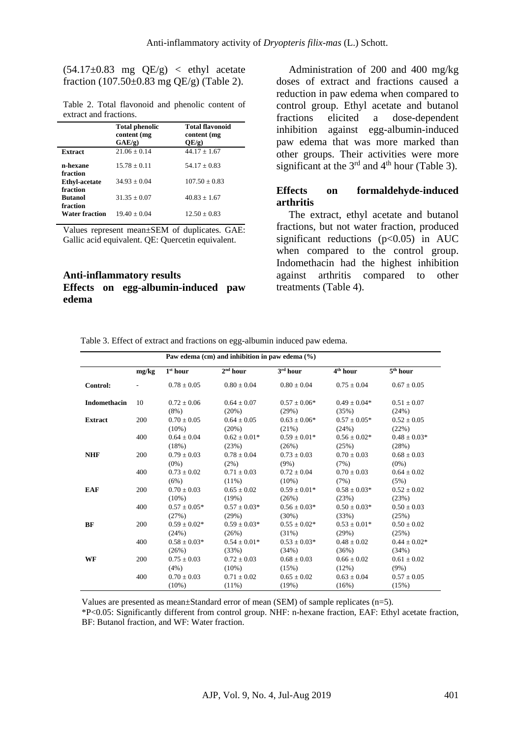$(54.17\pm0.83$  mg  $QE/g$  < ethyl acetate fraction (107.50 $\pm$ 0.83 mg QE/g) (Table 2).

Table 2. Total flavonoid and phenolic content of extract and fractions.

|                                              | <b>Total phenolic</b><br>content (mg<br>GAE/g | <b>Total flavonoid</b><br>content (mg<br>OE/g) |
|----------------------------------------------|-----------------------------------------------|------------------------------------------------|
| <b>Extract</b>                               | $21.06 + 0.14$                                | $44.17 + 1.67$                                 |
| n-hexane                                     | $15.78 + 0.11$                                | $54.17 + 0.83$                                 |
| fraction<br><b>Ethyl-acetate</b><br>fraction | $34.93 + 0.04$                                | $107.50 + 0.83$                                |
| <b>Butanol</b>                               | $31.35 + 0.07$                                | $40.83 + 1.67$                                 |
| fraction<br><b>Water fraction</b>            | $19.40 + 0.04$                                | $12.50 + 0.83$                                 |

Values represent mean±SEM of duplicates. GAE: Gallic acid equivalent. QE: Quercetin equivalent.

### **Anti-inflammatory results Effects on egg-albumin-induced paw edema**

Administration of 200 and 400 mg/kg doses of extract and fractions caused a reduction in paw edema when compared to control group. Ethyl acetate and butanol fractions elicited a dose-dependent inhibition against egg-albumin-induced paw edema that was more marked than other groups. Their activities were more significant at the  $3<sup>rd</sup>$  and  $4<sup>th</sup>$  hour (Table 3).

#### **Effects on formaldehyde-induced arthritis**

The extract, ethyl acetate and butanol fractions, but not water fraction, produced significant reductions  $(p<0.05)$  in AUC when compared to the control group. Indomethacin had the highest inhibition against arthritis compared to other treatments (Table 4).

| Paw edema (cm) and inhibition in paw edema $(\% )$ |       |                             |                             |                              |                           |                            |  |
|----------------------------------------------------|-------|-----------------------------|-----------------------------|------------------------------|---------------------------|----------------------------|--|
|                                                    | mg/kg | 1 <sup>st</sup> hour        | 2 <sup>nd</sup> hour        | 3rd hour                     | 4 <sup>th</sup> hour      | 5 <sup>th</sup> hour       |  |
| Control:                                           |       | $0.78 \pm 0.05$             | $0.80 \pm 0.04$             | $0.80 \pm 0.04$              | $0.75 \pm 0.04$           | $0.67 \pm 0.05$            |  |
| <b>Indomethacin</b>                                | 10    | $0.72 + 0.06$<br>(8%)       | $0.64 + 0.07$<br>$(20\%)$   | $0.57 + 0.06*$<br>(29%)      | $0.49 + 0.04*$<br>(35%)   | $0.51 + 0.07$<br>(24%)     |  |
| <b>Extract</b>                                     | 200   | $0.70 + 0.05$<br>$(10\%)$   | $0.64 \pm 0.05$<br>(20%)    | $0.63 \pm 0.06*$<br>(21%)    | $0.57 \pm 0.05*$<br>(24%) | $0.52 \pm 0.05$<br>(22%)   |  |
|                                                    | 400   | $0.64 \pm 0.04$<br>(18%)    | $0.62 \pm 0.01*$<br>(23%)   | $0.59 \pm 0.01*$<br>(26%)    | $0.56 \pm 0.02*$<br>(25%) | $0.48 \pm 0.03*$<br>(28%)  |  |
| <b>NHF</b>                                         | 200   | $0.79 + 0.03$<br>$(0\%)$    | $0.78 \pm 0.04$<br>$(2\%)$  | $0.73 \pm 0.03$<br>$(9\%)$   | $0.70 + 0.03$<br>(7%)     | $0.68 + 0.03$<br>$(0\%)$   |  |
|                                                    | 400   | $0.73 + 0.02$<br>(6%)       | $0.71 \pm 0.03$<br>$(11\%)$ | $0.72 + 0.04$<br>$(10\%)$    | $0.70 \pm 0.03$<br>(7%)   | $0.64 + 0.02$<br>(5%)      |  |
| <b>EAF</b>                                         | 200   | $0.70 \pm 0.03$<br>$(10\%)$ | $0.65 \pm 0.02$<br>(19%)    | $0.59 \pm 0.01*$<br>(26%)    | $0.58 \pm 0.03*$<br>(23%) | $0.52 \pm 0.02$<br>(23%)   |  |
|                                                    | 400   | $0.57 \pm 0.05*$<br>(27%)   | $0.57 \pm 0.03*$<br>(29%)   | $0.56 \pm 0.03*$<br>$(30\%)$ | $0.50 \pm 0.03*$<br>(33%) | $0.50 \pm 0.03$<br>(25%)   |  |
| <b>BF</b>                                          | 200   | $0.59 + 0.02*$<br>(24%)     | $0.59 \pm 0.03*$<br>(26%)   | $0.55 \pm 0.02*$<br>(31%)    | $0.53 \pm 0.01*$<br>(29%) | $0.50 \pm 0.02$<br>(25%)   |  |
|                                                    | 400   | $0.58 \pm 0.03*$<br>(26%)   | $0.54 \pm 0.01*$<br>(33%)   | $0.53 \pm 0.03*$<br>(34%)    | $0.48 \pm 0.02$<br>(36%)  | $0.44 \pm 0.02*$<br>(34%)  |  |
| <b>WF</b>                                          | 200   | $0.75 \pm 0.03$<br>(4%)     | $0.72 \pm 0.03$<br>$(10\%)$ | $0.68 \pm 0.03$<br>(15%)     | $0.66 \pm 0.02$<br>(12%)  | $0.61 \pm 0.02$<br>$(9\%)$ |  |
|                                                    | 400   | $0.70 \pm 0.03$<br>$(10\%)$ | $0.71 \pm 0.02$<br>$(11\%)$ | $0.65 \pm 0.02$<br>(19%)     | $0.63 \pm 0.04$<br>(16%)  | $0.57 \pm 0.05$<br>(15%)   |  |

Values are presented as mean±Standard error of mean (SEM) of sample replicates (n=5). \*P<0.05: Significantly different from control group. NHF: n-hexane fraction, EAF: Ethyl acetate fraction, BF: Butanol fraction, and WF: Water fraction.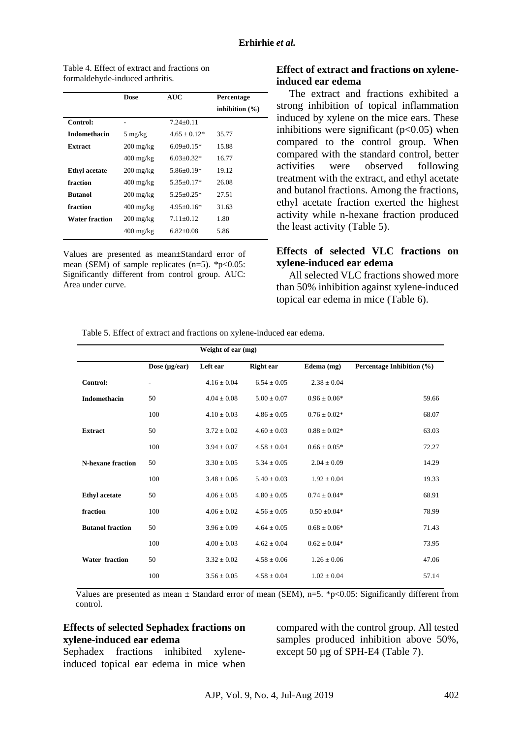|                       | <b>Dose</b>                       | <b>AUC</b>     | Percentage         |
|-----------------------|-----------------------------------|----------------|--------------------|
|                       |                                   |                | inhibition $(\% )$ |
| Control:              | -                                 | $7.24 + 0.11$  |                    |
| <b>Indomethacin</b>   | $5 \text{ mg/kg}$                 | $4.65 + 0.12*$ | 35.77              |
| <b>Extract</b>        | $200 \frac{\text{mg}}{\text{kg}}$ | $6.09+0.15*$   | 15.88              |
|                       | $400 \frac{\text{mg}}{\text{kg}}$ | $6.03+0.32*$   | 16.77              |
| <b>Ethyl</b> acetate  | $200 \frac{\text{mg}}{\text{kg}}$ | $5.86 + 0.19*$ | 19.12              |
| fraction              | $400 \frac{\text{mg}}{\text{kg}}$ | $5.35+0.17*$   | 26.08              |
| <b>Butanol</b>        | $200 \frac{\text{mg}}{\text{kg}}$ | $5.25 + 0.25*$ | 27.51              |
| fraction              | $400 \frac{\text{mg}}{\text{kg}}$ | $4.95+0.16*$   | 31.63              |
| <b>Water fraction</b> | $200 \frac{\text{mg}}{\text{kg}}$ | $7.11 + 0.12$  | 1.80               |
|                       | 400 mg/kg                         | $6.82+0.08$    | 5.86               |

Table 4. Effect of extract and fractions on formaldehyde-induced arthritis.

Values are presented as mean±Standard error of mean (SEM) of sample replicates  $(n=5)$ . \*p<0.05: Significantly different from control group. AUC: Area under curve.

### **Effect of extract and fractions on xyleneinduced ear edema**

The extract and fractions exhibited a strong inhibition of topical inflammation induced by xylene on the mice ears. These inhibitions were significant  $(p<0.05)$  when compared to the control group. When compared with the standard control, better activities were observed following treatment with the extract, and ethyl acetate and butanol fractions. Among the fractions, ethyl acetate fraction exerted the highest activity while n-hexane fraction produced the least activity (Table 5).

### **Effects of selected VLC fractions on xylene-induced ear edema**

All selected VLC fractions showed more than 50% inhibition against xylene-induced topical ear edema in mice (Table 6).

Table 5. Effect of extract and fractions on xylene-induced ear edema.

|                          |                          | Weight of ear (mg) |                  |                  |                           |
|--------------------------|--------------------------|--------------------|------------------|------------------|---------------------------|
|                          | Dose $(\mu g/ear)$       | Left ear           | <b>Right ear</b> | Edema $(mg)$     | Percentage Inhibition (%) |
| Control:                 | $\overline{\phantom{a}}$ | $4.16 \pm 0.04$    | $6.54 \pm 0.05$  | $2.38 \pm 0.04$  |                           |
| <b>Indomethacin</b>      | 50                       | $4.04 \pm 0.08$    | $5.00 \pm 0.07$  | $0.96 \pm 0.06*$ | 59.66                     |
|                          | 100                      | $4.10 \pm 0.03$    | $4.86 \pm 0.05$  | $0.76 \pm 0.02*$ | 68.07                     |
| <b>Extract</b>           | 50                       | $3.72 \pm 0.02$    | $4.60 \pm 0.03$  | $0.88 \pm 0.02*$ | 63.03                     |
|                          | 100                      | $3.94 \pm 0.07$    | $4.58 \pm 0.04$  | $0.66 \pm 0.05*$ | 72.27                     |
| <b>N-hexane fraction</b> | 50                       | $3.30 \pm 0.05$    | $5.34 \pm 0.05$  | $2.04 \pm 0.09$  | 14.29                     |
|                          | 100                      | $3.48 \pm 0.06$    | $5.40 \pm 0.03$  | $1.92 \pm 0.04$  | 19.33                     |
| <b>Ethyl</b> acetate     | 50                       | $4.06 \pm 0.05$    | $4.80 \pm 0.05$  | $0.74 \pm 0.04*$ | 68.91                     |
| fraction                 | 100                      | $4.06 \pm 0.02$    | $4.56 \pm 0.05$  | $0.50 \pm 0.04*$ | 78.99                     |
| <b>Butanol fraction</b>  | 50                       | $3.96 \pm 0.09$    | $4.64 \pm 0.05$  | $0.68 \pm 0.06*$ | 71.43                     |
|                          | 100                      | $4.00 \pm 0.03$    | $4.62 \pm 0.04$  | $0.62 \pm 0.04*$ | 73.95                     |
| <b>Water fraction</b>    | 50                       | $3.32 \pm 0.02$    | $4.58 \pm 0.06$  | $1.26 \pm 0.06$  | 47.06                     |
|                          | 100                      | $3.56 \pm 0.05$    | $4.58 \pm 0.04$  | $1.02 \pm 0.04$  | 57.14                     |

Values are presented as mean  $\pm$  Standard error of mean (SEM), n=5. \*p<0.05: Significantly different from control.

## **Effects of selected Sephadex fractions on xylene-induced ear edema**

Sephadex fractions inhibited xyleneinduced topical ear edema in mice when compared with the control group. All tested samples produced inhibition above 50%, except 50 µg of SPH-E4 (Table 7).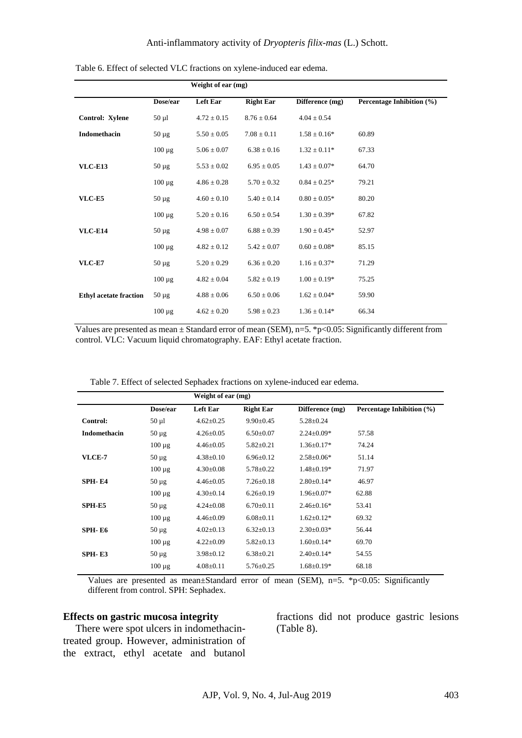|                               | Weight of ear (mg) |                 |                  |                  |                           |
|-------------------------------|--------------------|-----------------|------------------|------------------|---------------------------|
|                               | Dose/ear           | <b>Left Ear</b> | <b>Right Ear</b> | Difference (mg)  | Percentage Inhibition (%) |
| Control: Xylene               | $50 \mu l$         | $4.72 \pm 0.15$ | $8.76 \pm 0.64$  | $4.04 \pm 0.54$  |                           |
| Indomethacin                  | $50 \mu g$         | $5.50 \pm 0.05$ | $7.08 \pm 0.11$  | $1.58 \pm 0.16*$ | 60.89                     |
|                               | $100 \mu g$        | $5.06 \pm 0.07$ | $6.38 \pm 0.16$  | $1.32 \pm 0.11*$ | 67.33                     |
| <b>VLC-E13</b>                | $50 \mu g$         | $5.53 \pm 0.02$ | $6.95 \pm 0.05$  | $1.43 \pm 0.07*$ | 64.70                     |
|                               | $100 \mu g$        | $4.86 \pm 0.28$ | $5.70 \pm 0.32$  | $0.84 \pm 0.25*$ | 79.21                     |
| VLC-E5                        | $50 \mu g$         | $4.60 \pm 0.10$ | $5.40 \pm 0.14$  | $0.80 \pm 0.05*$ | 80.20                     |
|                               | $100 \mu g$        | $5.20 \pm 0.16$ | $6.50 \pm 0.54$  | $1.30 \pm 0.39*$ | 67.82                     |
| <b>VLC-E14</b>                | $50 \mu g$         | $4.98 \pm 0.07$ | $6.88 \pm 0.39$  | $1.90 \pm 0.45*$ | 52.97                     |
|                               | $100 \mu g$        | $4.82 \pm 0.12$ | $5.42 \pm 0.07$  | $0.60 \pm 0.08*$ | 85.15                     |
| <b>VLC-E7</b>                 | $50 \mu g$         | $5.20 \pm 0.29$ | $6.36 \pm 0.20$  | $1.16 \pm 0.37*$ | 71.29                     |
|                               | $100 \mu g$        | $4.82 \pm 0.04$ | $5.82 \pm 0.19$  | $1.00 \pm 0.19*$ | 75.25                     |
| <b>Ethyl acetate fraction</b> | $50 \mu g$         | $4.88 \pm 0.06$ | $6.50 \pm 0.06$  | $1.62 \pm 0.04*$ | 59.90                     |
|                               | $100 \mu g$        | $4.62 \pm 0.20$ | $5.98 \pm 0.23$  | $1.36 \pm 0.14*$ | 66.34                     |

Table 6. Effect of selected VLC fractions on xylene-induced ear edema.

Values are presented as mean ± Standard error of mean (SEM), n=5. \*p<0.05: Significantly different from control. VLC: Vacuum liquid chromatography. EAF: Ethyl acetate fraction.

|  |  | Table 7. Effect of selected Sephadex fractions on xylene-induced ear edema. |
|--|--|-----------------------------------------------------------------------------|
|--|--|-----------------------------------------------------------------------------|

|                     |             | Weight of ear (mg) |                  |                  |                           |
|---------------------|-------------|--------------------|------------------|------------------|---------------------------|
|                     | Dose/ear    | <b>Left Ear</b>    | <b>Right Ear</b> | Difference (mg)  | Percentage Inhibition (%) |
| <b>Control:</b>     | $50 \mu l$  | $4.62 \pm 0.25$    | $9.90 \pm 0.45$  | $5.28 \pm 0.24$  |                           |
| <b>Indomethacin</b> | $50 \mu$ g  | $4.26 \pm 0.05$    | $6.50 \pm 0.07$  | $2.24 \pm 0.09*$ | 57.58                     |
|                     | $100 \mu g$ | $4.46 \pm 0.05$    | $5.82 \pm 0.21$  | $1.36 \pm 0.17*$ | 74.24                     |
| <b>VLCE-7</b>       | $50 \mu$ g  | $4.38 \pm 0.10$    | $6.96 \pm 0.12$  | $2.58 \pm 0.06*$ | 51.14                     |
|                     | $100 \mu g$ | $4.30 \pm 0.08$    | $5.78 \pm 0.22$  | $1.48 \pm 0.19*$ | 71.97                     |
| SPH-E4              | $50 \mu g$  | $4.46 \pm 0.05$    | $7.26 \pm 0.18$  | $2.80 \pm 0.14*$ | 46.97                     |
|                     | $100 \mu g$ | $4.30 \pm 0.14$    | $6.26 \pm 0.19$  | $1.96 \pm 0.07*$ | 62.88                     |
| SPH-E5              | $50 \mu g$  | $4.24 \pm 0.08$    | $6.70 \pm 0.11$  | $2.46 \pm 0.16*$ | 53.41                     |
|                     | $100 \mu g$ | $4.46 \pm 0.09$    | $6.08 \pm 0.11$  | $1.62 \pm 0.12*$ | 69.32                     |
| SPH-E6              | $50 \mu g$  | $4.02 \pm 0.13$    | $6.32 \pm 0.13$  | $2.30\pm0.03*$   | 56.44                     |
|                     | $100 \mu g$ | $4.22 \pm 0.09$    | $5.82 \pm 0.13$  | $1.60 \pm 0.14*$ | 69.70                     |
| SPH-E3              | $50 \mu$ g  | $3.98 \pm 0.12$    | $6.38 \pm 0.21$  | $2.40 \pm 0.14*$ | 54.55                     |
|                     | $100 \mu g$ | $4.08 \pm 0.11$    | $5.76 \pm 0.25$  | $1.68 \pm 0.19*$ | 68.18                     |

Values are presented as mean $\pm$ Standard error of mean (SEM), n=5. \*p<0.05: Significantly different from control. SPH: Sephadex.

#### **Effects on gastric mucosa integrity**

There were spot ulcers in indomethacintreated group. However, administration of the extract, ethyl acetate and butanol fractions did not produce gastric lesions (Table 8).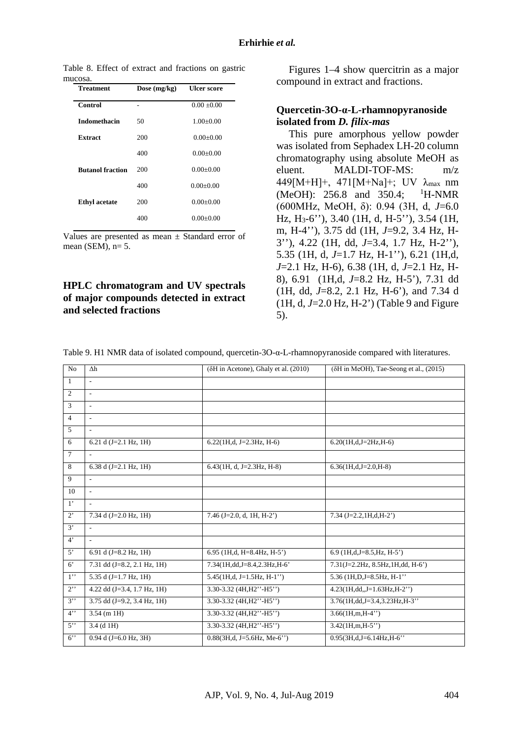Table 8. Effect of extract and fractions on gastric mucosa.

| <b>Treatment</b>        | Dose $(mg/kg)$ | <b>Ulcer score</b> |
|-------------------------|----------------|--------------------|
| Control                 |                | $0.00 \pm 0.00$    |
| <b>Indomethacin</b>     | 50             | $1.00+0.00$        |
| <b>Extract</b>          | 200            | $0.00 \pm 0.00$    |
|                         | 400            | $0.00 + 0.00$      |
| <b>Butanol fraction</b> | 200            | $0.00 + 0.00$      |
|                         | 400            | $0.00+0.00$        |
| <b>Ethyl</b> acetate    | 200            | $0.00 + 0.00$      |
|                         | 400            | $0.00 + 0.00$      |
|                         |                |                    |

Values are presented as mean  $\pm$  Standard error of mean (SEM),  $n=5$ .

### **HPLC chromatogram and UV spectrals of major compounds detected in extract and selected fractions**

Figures 1–4 show quercitrin as a major compound in extract and fractions.

#### **Quercetin-3O-α-L-rhamnopyranoside isolated from** *D. filix-mas*

This pure amorphous yellow powder was isolated from Sephadex LH-20 column chromatography using absolute MeOH as eluent. MALDI-TOF-MS: m/z 449[M+H]+, 471[M+Na]+; UV λmax nm (MeOH): 256.8 and 350.4; H-NMR (600MHz, MeOH, δ): 0.94 (3H, d, *J*=6.0 Hz, H3-6''), 3.40 (1H, d, H-5''), 3.54 (1H, m, H-4''), 3.75 dd (1H, *J*=9.2, 3.4 Hz, H-3''), 4.22 (1H, dd, *J*=3.4, 1.7 Hz, H-2''), 5.35 (1H, d, *J*=1.7 Hz, H-1''), 6.21 (1H,d, *J*=2.1 Hz, H-6), 6.38 (1H, d, *J*=2.1 Hz, H-8), 6.91 (1H,d, *J*=8.2 Hz, H-5'), 7.31 dd (1H, dd, *J*=8.2, 2.1 Hz, H-6'), and 7.34 d (1H, d, *J*=2.0 Hz, H-2') (Table 9 and Figure 5).

Table 9. H1 NMR data of isolated compound, quercetin-3O-α-L-rhamnopyranoside compared with literatures.

| N <sub>o</sub>   | $\Delta h$                             | $(\delta H$ in Acetone), Ghaly et al. $(2010)$ | $(\delta H$ in MeOH), Tae-Seong et al., $(2015)$ |
|------------------|----------------------------------------|------------------------------------------------|--------------------------------------------------|
| $\mathbf{1}$     | $\overline{\phantom{a}}$               |                                                |                                                  |
| $\overline{c}$   | $\overline{\phantom{a}}$               |                                                |                                                  |
| 3                | $\overline{\phantom{a}}$               |                                                |                                                  |
| $\overline{4}$   | $\overline{a}$                         |                                                |                                                  |
| 5                | $\sim$                                 |                                                |                                                  |
| 6                | 6.21 d $(J=2.1 \text{ Hz}, 1H)$        | $6.22(1H,d, J=2.3Hz, H=6)$                     | $6.20(1H,d,J=2Hz,H-6)$                           |
| $\overline{7}$   | $\mathcal{L}$                          |                                                |                                                  |
| 8                | 6.38 d $(J=2.1 \text{ Hz}, 1H)$        | $6.43(1H, d, J=2.3Hz, H-8)$                    | $6.36(1H,d,J=2.0,H-8)$                           |
| 9                | ÷                                      |                                                |                                                  |
| 10               | $\sim$                                 |                                                |                                                  |
| $1^{\circ}$      | $\overline{\phantom{a}}$               |                                                |                                                  |
| $2^{\circ}$      | 7.34 d (J=2.0 Hz, 1H)                  | 7.46 (J=2.0, d, 1H, H-2')                      | $7.34$ (J=2.2,1H,d,H-2')                         |
| 3'               | $\sim$                                 |                                                |                                                  |
| $4^{\circ}$      |                                        |                                                |                                                  |
| $5^{\circ}$      | 6.91 d $(J=8.2 \text{ Hz}, 1H)$        | $6.95$ (1H,d, H=8.4Hz, H-5')                   | $6.9$ (1H,d,J=8.5,Hz, H-5')                      |
| $6^{\circ}$      | 7.31 dd (J=8.2, 2.1 Hz, 1H)            | 7.34(1H,dd,J=8.4,2.3Hz,H-6'                    | 7.31(J=2.2Hz, 8.5Hz, 1H, dd, H-6')               |
| 1                | 5.35 d $(J=1.7 \text{ Hz}, 1\text{H})$ | $5.45(1H,d, J=1.5Hz, H-1'')$                   | 5.36 (1H, D, J=8.5Hz, H-1"                       |
| $2$ <sup>"</sup> | 4.22 dd $(J=3.4, 1.7 \text{ Hz}, 1H)$  | $3.30 - 3.32$ (4H, H2"-H5")                    | $4.23(1H, dd, J=1.63Hz, H-2")$                   |
| $3$ "            | 3.75 dd $(J=9.2, 3.4 \text{ Hz}, 1H)$  | $3.30 - 3.32$ (4H, H2"-H5")                    | 3.76(1H,dd,J=3.4,3.23Hz,H-3"                     |
| 4"               | $3.54$ (m 1H)                          | $3.30 - 3.32$ (4H, H2"-H5")                    | $3.66(1H,m,H-4")$                                |
| 5                | $3.4$ (d 1H)                           | $3.30 - 3.32$ (4H, H2"-H5")                    | $3.42(1H,m,H-5")$                                |
| $6$ "            | $0.94$ d (J=6.0 Hz, 3H)                | $0.88(3H,d, J=5.6Hz, Me-6")$                   | 0.95(3H,d,J=6.14Hz,H-6"                          |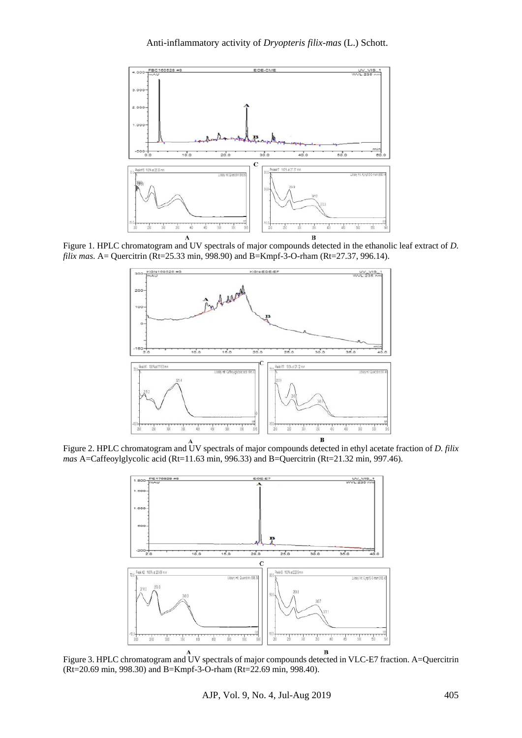

Figure 1. HPLC chromatogram and UV spectrals of major compounds detected in the ethanolic leaf extract of *D. filix mas.* A= Quercitrin (Rt=25.33 min, 998.90) and B=Kmpf-3-O-rham (Rt=27.37, 996.14).



Figure 2. HPLC chromatogram and UV spectrals of major compounds detected in ethyl acetate fraction of *D. filix mas* A=Caffeoylglycolic acid (Rt=11.63 min, 996.33) and B=Quercitrin (Rt=21.32 min, 997.46).



Figure 3. HPLC chromatogram and UV spectrals of major compounds detected in VLC-E7 fraction. A=Quercitrin (Rt=20.69 min, 998.30) and B=Kmpf-3-O-rham (Rt=22.69 min, 998.40).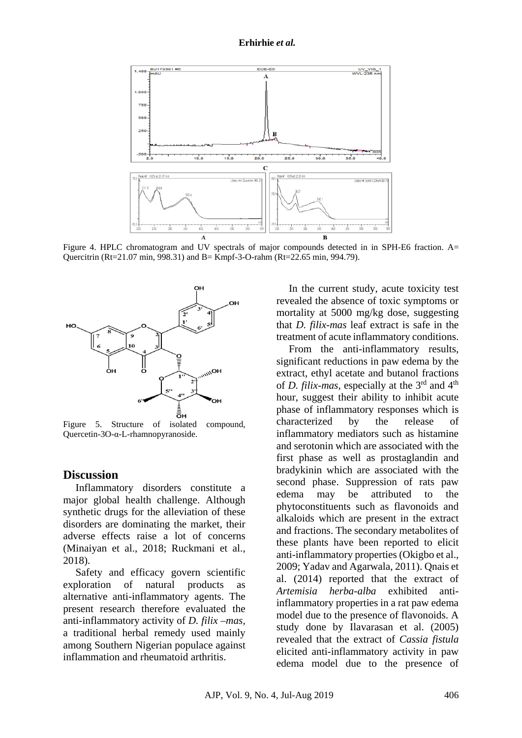#### **Erhirhie** *et al.*



Figure 4. HPLC chromatogram and UV spectrals of major compounds detected in in SPH-E6 fraction. A= Quercitrin (Rt=21.07 min, 998.31) and B= Kmpf-3-O-rahm (Rt=22.65 min, 994.79).



Figure 5. Structure of isolated compound, Quercetin-3O-α-L-rhamnopyranoside.

### **Discussion**

Inflammatory disorders constitute a major global health challenge. Although synthetic drugs for the alleviation of these disorders are dominating the market, their adverse effects raise a lot of concerns (Minaiyan et al., 2018; Ruckmani et al., 2018).

Safety and efficacy govern scientific exploration of natural products as alternative anti-inflammatory agents. The present research therefore evaluated the anti-inflammatory activity of *D. filix –mas,*  a traditional herbal remedy used mainly among Southern Nigerian populace against inflammation and rheumatoid arthritis.

In the current study, acute toxicity test revealed the absence of toxic symptoms or mortality at 5000 mg/kg dose, suggesting that *D. filix-mas* leaf extract is safe in the treatment of acute inflammatory conditions.

From the anti-inflammatory results, significant reductions in paw edema by the extract, ethyl acetate and butanol fractions of *D. filix-mas*, especially at the 3rd and 4th hour, suggest their ability to inhibit acute phase of inflammatory responses which is characterized by the release of inflammatory mediators such as histamine and serotonin which are associated with the first phase as well as prostaglandin and bradykinin which are associated with the second phase. Suppression of rats paw edema may be attributed to the phytoconstituents such as flavonoids and alkaloids which are present in the extract and fractions. The secondary metabolites of these plants have been reported to elicit anti-inflammatory properties (Okigbo et al., 2009; Yadav and Agarwala, 2011). Qnais et al. (2014) reported that the extract of *Artemisia herba-alba* exhibited antiinflammatory properties in a rat paw edema model due to the presence of flavonoids. A study done by Ilavarasan et al. (2005) revealed that the extract of *Cassia fistula*  elicited anti-inflammatory activity in paw edema model due to the presence of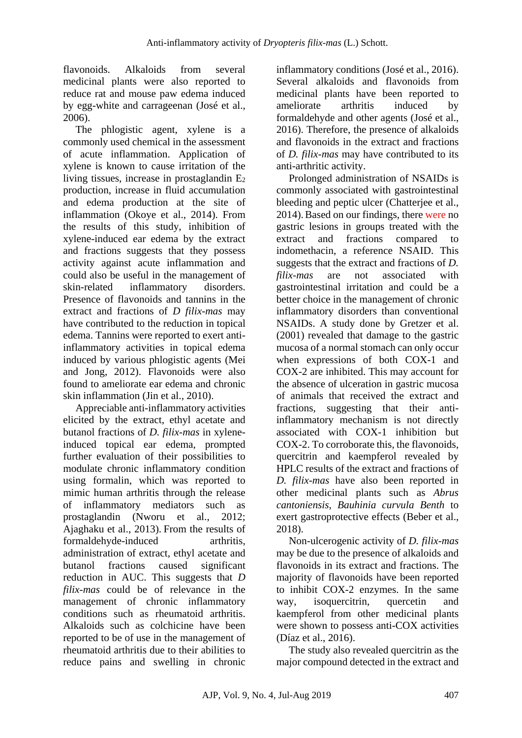flavonoids. Alkaloids from several medicinal plants were also reported to reduce rat and mouse paw edema induced by egg-white and carrageenan (José et al., 2006).

The phlogistic agent, xylene is a commonly used chemical in the assessment of acute inflammation. Application of xylene is known to cause irritation of the living tissues, increase in prostaglandin E2 production, increase in fluid accumulation and edema production at the site of inflammation (Okoye et al., 2014). From the results of this study, inhibition of xylene-induced ear edema by the extract and fractions suggests that they possess activity against acute inflammation and could also be useful in the management of skin-related inflammatory disorders. Presence of flavonoids and tannins in the extract and fractions of *D filix-mas* may have contributed to the reduction in topical edema. Tannins were reported to exert antiinflammatory activities in topical edema induced by various phlogistic agents (Mei and Jong, 2012). Flavonoids were also found to ameliorate ear edema and chronic skin inflammation (Jin et al., 2010).

Appreciable anti-inflammatory activities elicited by the extract, ethyl acetate and butanol fractions of *D. filix-mas* in xyleneinduced topical ear edema, prompted further evaluation of their possibilities to modulate chronic inflammatory condition using formalin, which was reported to mimic human arthritis through the release of inflammatory mediators such as prostaglandin (Nworu et al., 2012; Ajaghaku et al., 2013). From the results of formaldehyde-induced arthritis, administration of extract, ethyl acetate and butanol fractions caused significant reduction in AUC. This suggests that *D filix-mas* could be of relevance in the management of chronic inflammatory conditions such as rheumatoid arthritis. Alkaloids such as colchicine have been reported to be of use in the management of rheumatoid arthritis due to their abilities to reduce pains and swelling in chronic inflammatory conditions (José et al., 2016). Several alkaloids and flavonoids from medicinal plants have been reported to ameliorate arthritis induced by formaldehyde and other agents (José et al., 2016). Therefore, the presence of alkaloids and flavonoids in the extract and fractions of *D. filix-mas* may have contributed to its anti-arthritic activity.

Prolonged administration of NSAIDs is commonly associated with gastrointestinal bleeding and peptic ulcer (Chatterjee et al., 2014). Based on our findings, there were no gastric lesions in groups treated with the extract and fractions compared to indomethacin, a reference NSAID. This suggests that the extract and fractions of *D. filix-mas* are not associated with gastrointestinal irritation and could be a better choice in the management of chronic inflammatory disorders than conventional NSAIDs. A study done by Gretzer et al. (2001) revealed that damage to the gastric mucosa of a normal stomach can only occur when expressions of both COX-1 and COX-2 are inhibited. This may account for the absence of ulceration in gastric mucosa of animals that received the extract and fractions, suggesting that their antiinflammatory mechanism is not directly associated with COX-1 inhibition but COX-2. To corroborate this, the flavonoids, quercitrin and kaempferol revealed by HPLC results of the extract and fractions of *D. filix-mas* have also been reported in other medicinal plants such as *Abrus cantoniensis, Bauhinia curvula Benth* to exert gastroprotective effects (Beber et al., 2018).

Non-ulcerogenic activity of *D. filix-mas*  may be due to the presence of alkaloids and flavonoids in its extract and fractions. The majority of flavonoids have been reported to inhibit COX-2 enzymes. In the same way, isoquercitrin, quercetin and kaempferol from other medicinal plants were shown to possess anti-COX activities (Díaz et al., 2016).

The study also revealed quercitrin as the major compound detected in the extract and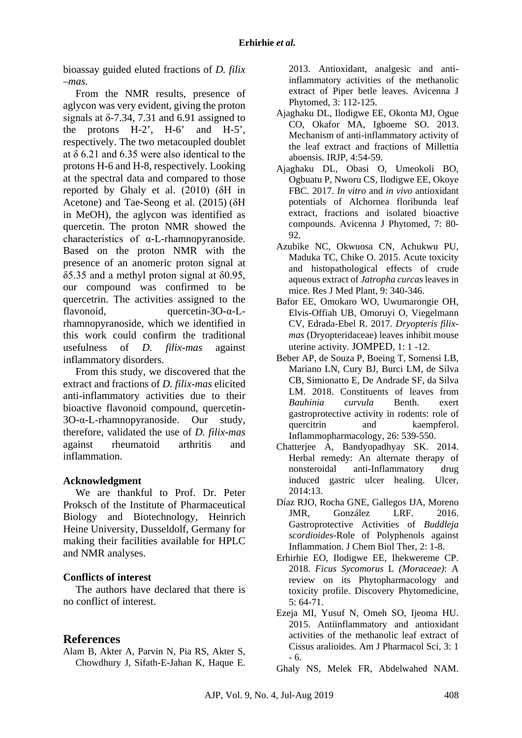bioassay guided eluted fractions of *D. filix –mas.*

From the NMR results, presence of aglycon was very evident, giving the proton signals at  $\delta$ -7.34, 7.31 and 6.91 assigned to the protons H-2', H-6' and H-5', respectively. The two metacoupled doublet at δ 6.21 and 6.35 were also identical to the protons H-6 and H-8, respectively. Looking at the spectral data and compared to those reported by Ghaly et al. (2010) (δH in Acetone) and Tae-Seong et al. (2015) (δH in MeOH), the aglycon was identified as quercetin. The proton NMR showed the characteristics of α-L-rhamnopyranoside. Based on the proton NMR with the presence of an anomeric proton signal at  $\delta$ 5.35 and a methyl proton signal at  $\delta$ 0.95, our compound was confirmed to be quercetrin. The activities assigned to the flavonoid, quercetin-3O-α-Lrhamnopyranoside, which we identified in this work could confirm the traditional usefulness of *D. filix-mas* against inflammatory disorders.

From this study, we discovered that the extract and fractions of *D. filix-mas* elicited anti-inflammatory activities due to their bioactive flavonoid compound, quercetin-3O-α-L-rhamnopyranoside. Our study, therefore, validated the use of *D. filix-mas*  against rheumatoid arthritis and inflammation.

### **Acknowledgment**

We are thankful to Prof. Dr. Peter Proksch of the Institute of Pharmaceutical Biology and Biotechnology, Heinrich Heine University, Dusseldolf, Germany for making their facilities available for HPLC and NMR analyses.

### **Conflicts of interest**

The authors have declared that there is no conflict of interest.

## **References**

Alam B, Akter A, Parvin N, Pia RS, Akter S, Chowdhury J, Sifath-E-Jahan K, Haque E. 2013. Antioxidant, analgesic and antiinflammatory activities of the methanolic extract of Piper betle leaves. Avicenna J Phytomed, 3: 112-125.

- Ajaghaku DL, Ilodigwe EE, Okonta MJ, Ogue CO, Okafor MA, Igboeme SO. 2013. Mechanism of anti-inflammatory activity of the leaf extract and fractions of Millettia aboensis*.* IRJP, 4:54-59.
- Ajaghaku DL, Obasi O, Umeokoli BO, Ogbuatu P, Nworu CS, Ilodigwe EE, Okoye FBC. 2017. *In vitro* and *in vivo* antioxidant potentials of Alchornea floribunda leaf extract, fractions and isolated bioactive compounds. Avicenna J Phytomed, 7: 80- 92.
- Azubike NC, Okwuosa CN, Achukwu PU, Maduka TC, Chike O. 2015. Acute toxicity and histopathological effects of crude aqueous extract of *Jatropha curcas* leaves in mice. Res J Med Plant*,* 9: 340-346.
- Bafor EE, Omokaro WO, Uwumarongie OH, Elvis-Offiah UB, Omoruyi O, Viegelmann CV, Edrada-Ebel R. 2017. *Dryopteris filixmas* (Dryopteridaceae) leaves inhibit mouse uterine activity. JOMPED, 1: 1 -12.
- Beber AP, de Souza P, Boeing T, Somensi LB, Mariano LN, Cury BJ, Burci LM, de Silva CB, Simionatto E, De Andrade SF, da Silva LM. 2018. Constituents of leaves from *Bauhinia curvula* Benth. exert gastroprotective activity in rodents: role of quercitrin and kaempferol. Inflammopharmacology*,* 26: 539-550.
- Chatterjee A, Bandyopadhyay SK. 2014. Herbal remedy: An alternate therapy of nonsteroidal anti-Inflammatory drug induced gastric ulcer healing. Ulcer, 2014:13.
- Díaz RJO, Rocha GNE, Gallegos IJA, Moreno JMR, González LRF. 2016. Gastroprotective Activities of *Buddleja scordioides*-Role of Polyphenols against Inflammation. J Chem Biol Ther, 2: 1-8.
- Erhirhie EO, Ilodigwe EE, Ihekwereme CP. 2018. *Ficus Sycomorus* L *(Moraceae)*: A review on its Phytopharmacology and toxicity profile. Discovery Phytomedicine*,* 5: 64-71.
- Ezeja MI, Yusuf N, Omeh SO, Ijeoma HU. 2015. Antiinflammatory and antioxidant activities of the methanolic leaf extract of Cissus aralioides. Am J Pharmacol Sci, 3: 1 - 6.
- Ghaly NS, Melek FR, Abdelwahed NAM.